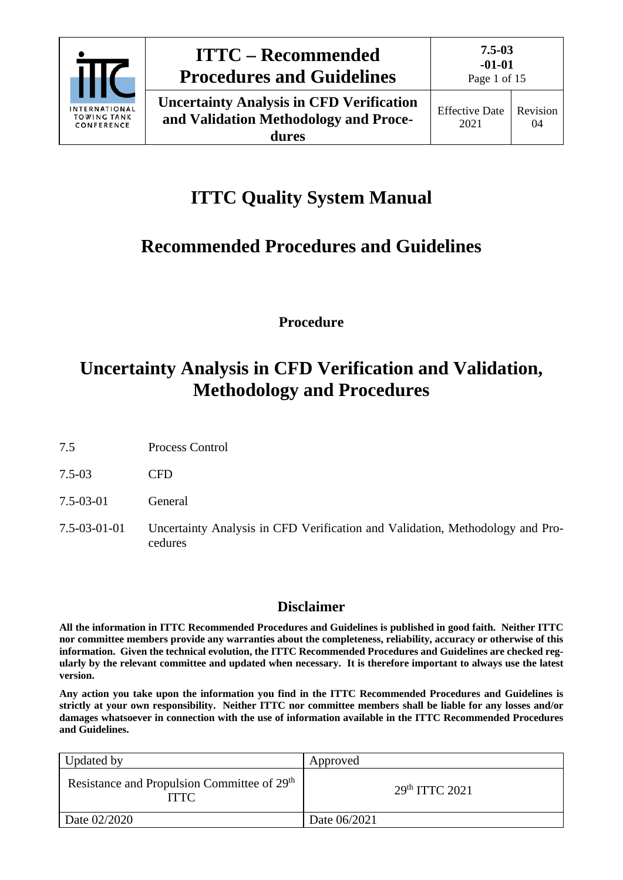

# **ITTC Quality System Manual**

# **Recommended Procedures and Guidelines**

**Procedure**

# **Uncertainty Analysis in CFD Verification and Validation, Methodology and Procedures**

- 7.5 Process Control
- 7.5-03 CFD
- 7.5-03-01 General
- 7.5-03-01-01 Uncertainty Analysis in CFD Verification and Validation, Methodology and Procedures

### **Disclaimer**

**All the information in ITTC Recommended Procedures and Guidelines is published in good faith. Neither ITTC nor committee members provide any warranties about the completeness, reliability, accuracy or otherwise of this information. Given the technical evolution, the ITTC Recommended Procedures and Guidelines are checked regularly by the relevant committee and updated when necessary. It is therefore important to always use the latest version.**

**Any action you take upon the information you find in the ITTC Recommended Procedures and Guidelines is strictly at your own responsibility. Neither ITTC nor committee members shall be liable for any losses and/or damages whatsoever in connection with the use of information available in the ITTC Recommended Procedures and Guidelines.**

| Updated by                                                             | Approved         |
|------------------------------------------------------------------------|------------------|
| Resistance and Propulsion Committee of 29 <sup>th</sup><br><b>ITTC</b> | $29th$ ITTC 2021 |
| Date 02/2020                                                           | Date 06/2021     |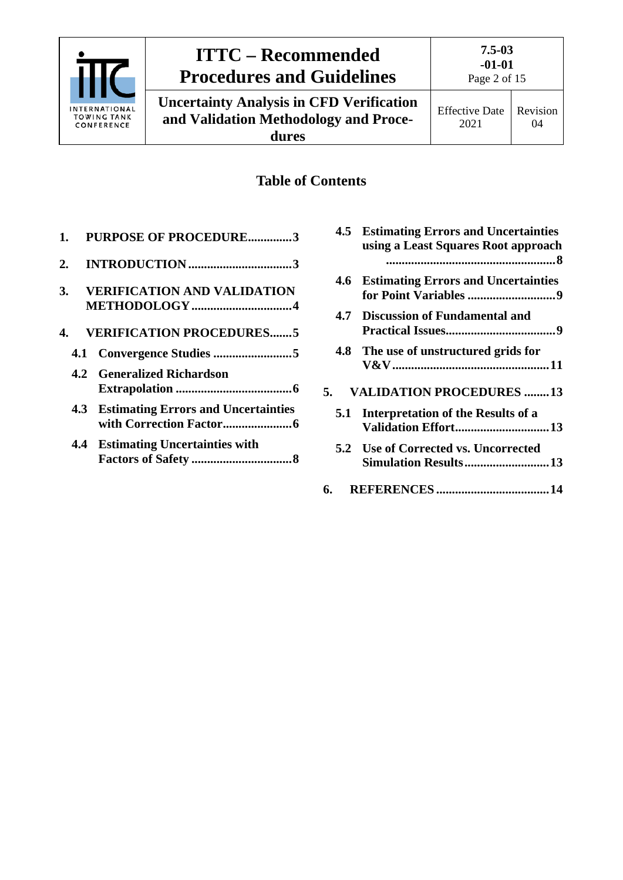

# **ITTC – Recommended Procedures and Guidelines**

**Uncertainty Analysis in CFD Verification and Validation Methodology and Procedures**

### **Table of Contents**

| 1. | <b>PURPOSE OF PROCEDURE3</b>                        |
|----|-----------------------------------------------------|
| 2. |                                                     |
| 3. | <b>VERIFICATION AND VALIDATION</b><br>METHODOLOGY 4 |
|    | 4. VERIFICATION PROCEDURES5                         |
|    |                                                     |
|    | <b>4.2 Generalized Richardson</b>                   |
|    | <b>4.3 Estimating Errors and Uncertainties</b>      |
|    | <b>4.4 Estimating Uncertainties with</b>            |

|      | <b>4.5 Estimating Errors and Uncertainties</b><br>using a Least Squares Root approach |
|------|---------------------------------------------------------------------------------------|
| 4.6  | <b>Estimating Errors and Uncertainties</b>                                            |
|      | 4.7 Discussion of Fundamental and                                                     |
|      | 4.8 The use of unstructured grids for                                                 |
| 5.   | <b>VALIDATION PROCEDURES 13</b>                                                       |
|      | 5.1 Interpretation of the Results of a<br><b>Validation Effort13</b>                  |
|      | 5.2 Use of Corrected vs. Uncorrected<br><b>Simulation Results 13</b>                  |
| 6. — |                                                                                       |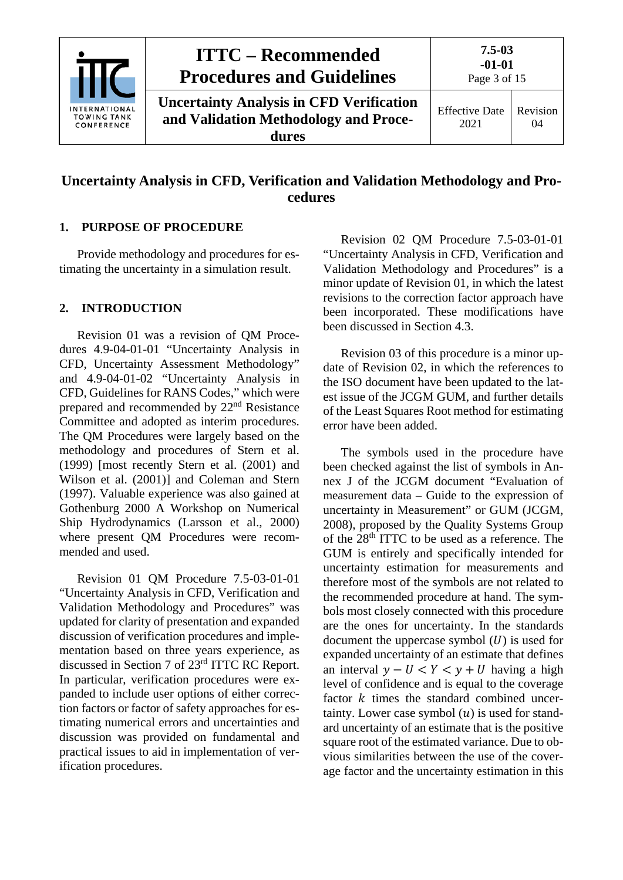

### **Uncertainty Analysis in CFD, Verification and Validation Methodology and Procedures**

#### <span id="page-2-0"></span>**1. PURPOSE OF PROCEDURE**

Provide methodology and procedures for estimating the uncertainty in a simulation result.

#### <span id="page-2-1"></span>**2. INTRODUCTION**

Revision 01 was a revision of QM Procedures 4.9-04-01-01 "Uncertainty Analysis in CFD, Uncertainty Assessment Methodology" and 4.9-04-01-02 "Uncertainty Analysis in CFD, Guidelines for RANS Codes," which were prepared and recommended by 22nd Resistance Committee and adopted as interim procedures. The QM Procedures were largely based on the methodology and procedures of Stern et al. (1999) [most recently Stern et al. (2001) and Wilson et al. (2001)] and Coleman and Stern (1997). Valuable experience was also gained at Gothenburg 2000 A Workshop on Numerical Ship Hydrodynamics (Larsson et al., 2000) where present QM Procedures were recommended and used.

Revision 01 QM Procedure 7.5-03-01-01 "Uncertainty Analysis in CFD, Verification and Validation Methodology and Procedures" was updated for clarity of presentation and expanded discussion of verification procedures and implementation based on three years experience, as discussed in Section 7 of 23rd ITTC RC Report. In particular, verification procedures were expanded to include user options of either correction factors or factor of safety approaches for estimating numerical errors and uncertainties and discussion was provided on fundamental and practical issues to aid in implementation of verification procedures.

Revision 02 QM Procedure 7.5-03-01-01 "Uncertainty Analysis in CFD, Verification and Validation Methodology and Procedures" is a minor update of Revision 01, in which the latest revisions to the correction factor approach have been incorporated. These modifications have been discussed in Section [4.3.](#page-5-1)

Revision 03 of this procedure is a minor update of Revision 02, in which the references to the ISO document have been updated to the latest issue of the JCGM GUM, and further details of the Least Squares Root method for estimating error have been added.

The symbols used in the procedure have been checked against the list of symbols in Annex J of the JCGM document "Evaluation of measurement data – Guide to the expression of uncertainty in Measurement" or GUM (JCGM, 2008), proposed by the Quality Systems Group of the 28th ITTC to be used as a reference. The GUM is entirely and specifically intended for uncertainty estimation for measurements and therefore most of the symbols are not related to the recommended procedure at hand. The symbols most closely connected with this procedure are the ones for uncertainty. In the standards document the uppercase symbol  $(U)$  is used for expanded uncertainty of an estimate that defines an interval  $y - U < Y < y + U$  having a high level of confidence and is equal to the coverage factor  $k$  times the standard combined uncertainty. Lower case symbol  $(u)$  is used for standard uncertainty of an estimate that is the positive square root of the estimated variance. Due to obvious similarities between the use of the coverage factor and the uncertainty estimation in this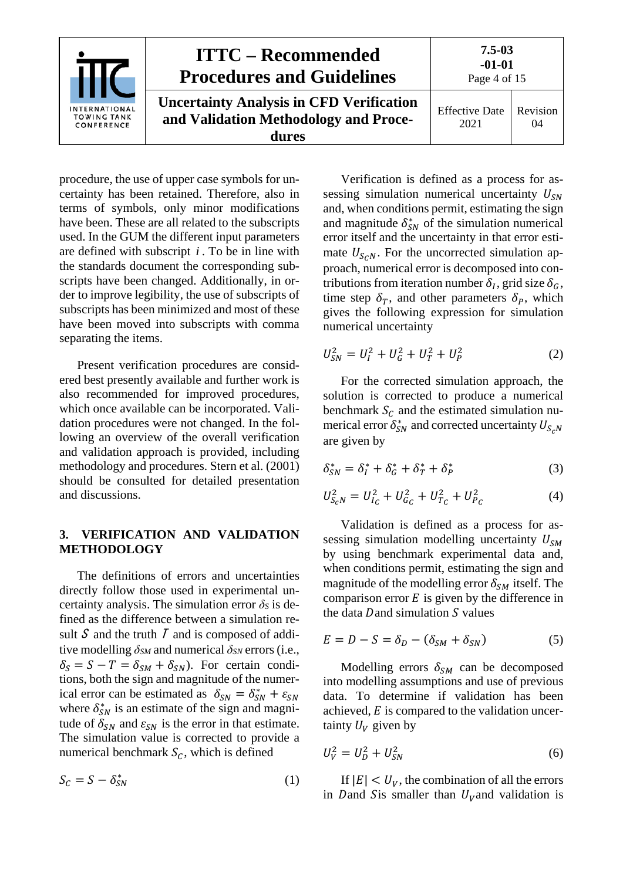

procedure, the use of upper case symbols for uncertainty has been retained. Therefore, also in terms of symbols, only minor modifications have been. These are all related to the subscripts used. In the GUM the different input parameters are defined with subscript *i* . To be in line with the standards document the corresponding subscripts have been changed. Additionally, in order to improve legibility, the use of subscripts of subscripts has been minimized and most of these have been moved into subscripts with comma separating the items.

Present verification procedures are considered best presently available and further work is also recommended for improved procedures, which once available can be incorporated. Validation procedures were not changed. In the following an overview of the overall verification and validation approach is provided, including methodology and procedures. Stern et al. (2001) should be consulted for detailed presentation and discussions.

#### <span id="page-3-0"></span>**3. VERIFICATION AND VALIDATION METHODOLOGY**

The definitions of errors and uncertainties directly follow those used in experimental uncertainty analysis. The simulation error  $\delta$ *S* is defined as the difference between a simulation result S and the truth  $\overline{I}$  and is composed of additive modelling *δSM* and numerical *δSN* errors (i.e.,  $\delta_S = S - T = \delta_{SM} + \delta_{SN}$ . For certain conditions, both the sign and magnitude of the numerical error can be estimated as  $\delta_{SN} = \delta_{SN}^* + \varepsilon_{SN}$ where  $\delta_{SN}^*$  is an estimate of the sign and magnitude of  $\delta_{SN}$  and  $\varepsilon_{SN}$  is the error in that estimate. The simulation value is corrected to provide a numerical benchmark  $S_c$ , which is defined

$$
S_C = S - \delta_{SN}^* \tag{1}
$$

Verification is defined as a process for assessing simulation numerical uncertainty  $U_{SN}$ and, when conditions permit, estimating the sign and magnitude  $\delta_{SN}^*$  of the simulation numerical error itself and the uncertainty in that error estimate  $U_{S \ncap N}$ . For the uncorrected simulation approach, numerical error is decomposed into contributions from iteration number  $\delta_l$ , grid size  $\delta_G$ , time step  $\delta_T$ , and other parameters  $\delta_P$ , which gives the following expression for simulation numerical uncertainty

$$
U_{SN}^2 = U_I^2 + U_G^2 + U_T^2 + U_P^2 \tag{2}
$$

For the corrected simulation approach, the solution is corrected to produce a numerical benchmark  $S_c$  and the estimated simulation numerical error  $\delta_{SN}^*$  and corrected uncertainty  $U_{S_\zeta}$ are given by

$$
\delta_{SN}^* = \delta_I^* + \delta_G^* + \delta_T^* + \delta_P^* \tag{3}
$$

$$
U_{S_cN}^2 = U_{I_c}^2 + U_{G_c}^2 + U_{T_c}^2 + U_{P_c}^2 \tag{4}
$$

Validation is defined as a process for assessing simulation modelling uncertainty  $U_{SM}$ by using benchmark experimental data and, when conditions permit, estimating the sign and magnitude of the modelling error  $\delta_{SM}$  itself. The comparison error  $E$  is given by the difference in the data Dand simulation  $S$  values

<span id="page-3-1"></span>
$$
E = D - S = \delta_D - (\delta_{SM} + \delta_{SN})
$$
 (5)

Modelling errors  $\delta_{SM}$  can be decomposed into modelling assumptions and use of previous data. To determine if validation has been achieved,  $E$  is compared to the validation uncertainty  $U_V$  given by

<span id="page-3-2"></span>
$$
U_V^2 = U_D^2 + U_{SN}^2 \tag{6}
$$

If  $|E| < U_V$ , the combination of all the errors in Dand Sis smaller than  $U_V$  and validation is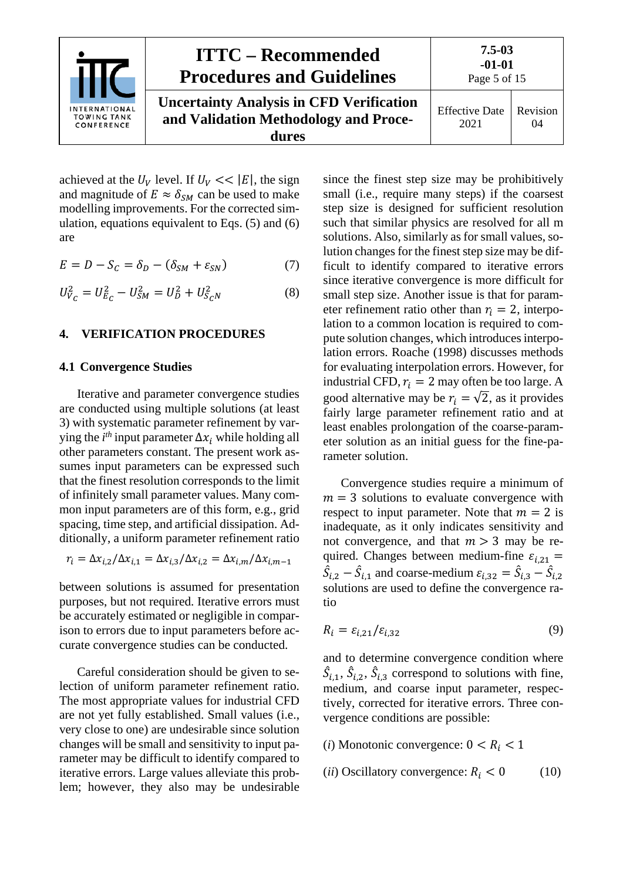

achieved at the  $U_V$  level. If  $U_V \ll |E|$ , the sign and magnitude of  $E \approx \delta_{SM}$  can be used to make modelling improvements. For the corrected simulation, equations equivalent to Eqs. [\(5\)](#page-3-1) and [\(6\)](#page-3-2) are

$$
E = D - S_C = \delta_D - (\delta_{SM} + \varepsilon_{SN})
$$
 (7)

<span id="page-4-0"></span>
$$
U_{V_C}^2 = U_{E_C}^2 - U_{SM}^2 = U_D^2 + U_{S_C N}^2 \tag{8}
$$

#### <span id="page-4-1"></span>**4. VERIFICATION PROCEDURES**

#### **4.1 Convergence Studies**

Iterative and parameter convergence studies are conducted using multiple solutions (at least 3) with systematic parameter refinement by varying the  $i^{th}$  input parameter  $\Delta x_i$  while holding all other parameters constant. The present work assumes input parameters can be expressed such that the finest resolution corresponds to the limit of infinitely small parameter values. Many common input parameters are of this form, e.g., grid spacing, time step, and artificial dissipation. Additionally, a uniform parameter refinement ratio

$$
r_i = \Delta x_{i,2} / \Delta x_{i,1} = \Delta x_{i,3} / \Delta x_{i,2} = \Delta x_{i,m} / \Delta x_{i,m-1}
$$

between solutions is assumed for presentation purposes, but not required. Iterative errors must be accurately estimated or negligible in comparison to errors due to input parameters before accurate convergence studies can be conducted.

Careful consideration should be given to selection of uniform parameter refinement ratio. The most appropriate values for industrial CFD are not yet fully established. Small values (i.e., very close to one) are undesirable since solution changes will be small and sensitivity to input parameter may be difficult to identify compared to iterative errors. Large values alleviate this problem; however, they also may be undesirable

since the finest step size may be prohibitively small (i.e., require many steps) if the coarsest step size is designed for sufficient resolution such that similar physics are resolved for all m solutions. Also, similarly as for small values, solution changes for the finest step size may be difficult to identify compared to iterative errors since iterative convergence is more difficult for small step size. Another issue is that for parameter refinement ratio other than  $r_i = 2$ , interpolation to a common location is required to compute solution changes, which introduces interpolation errors. Roache (1998) discusses methods for evaluating interpolation errors. However, for industrial CFD,  $r_i = 2$  may often be too large. A good alternative may be  $r_i = \sqrt{2}$ , as it provides fairly large parameter refinement ratio and at least enables prolongation of the coarse-parameter solution as an initial guess for the fine-parameter solution.

Convergence studies require a minimum of  $m = 3$  solutions to evaluate convergence with respect to input parameter. Note that  $m = 2$  is inadequate, as it only indicates sensitivity and not convergence, and that  $m > 3$  may be required. Changes between medium-fine  $\varepsilon_{i,21}$  =  $\hat{S}_{i,2} - \hat{S}_{i,1}$  and coarse-medium  $\varepsilon_{i,32} = \hat{S}_{i,3} - \hat{S}_{i,2}$ solutions are used to define the convergence ratio

$$
R_i = \varepsilon_{i,21} / \varepsilon_{i,32} \tag{9}
$$

and to determine convergence condition where  $\hat{S}_{i,1}, \hat{S}_{i,2}, \hat{S}_{i,3}$  correspond to solutions with fine, medium, and coarse input parameter, respectively, corrected for iterative errors. Three convergence conditions are possible:

- (*i*) Monotonic convergence:  $0 < R_i < 1$
- (*ii*) Oscillatory convergence:  $R_i < 0$  (10)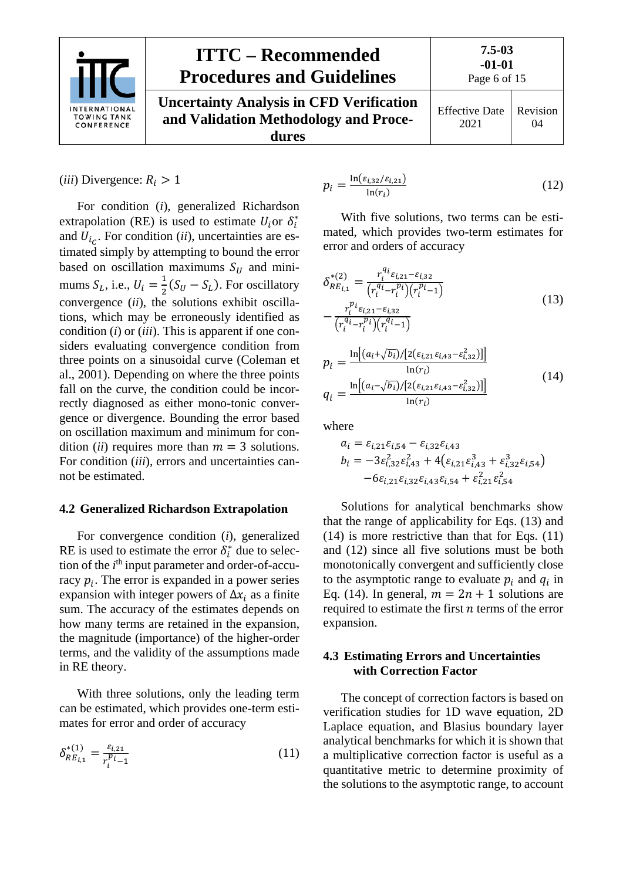

| ONAL<br><b>ANK</b><br><b>NCE</b> | <b>ITTC – Recommended</b><br><b>Procedures and Guidelines</b>                                     | $7.5 - 03$<br>$-01-01$<br>Page 6 of 15 |                       |
|----------------------------------|---------------------------------------------------------------------------------------------------|----------------------------------------|-----------------------|
|                                  | <b>Uncertainty Analysis in CFD Verification</b><br>and Validation Methodology and Proce-<br>dures | <b>Effective Date</b><br>2021          | <b>Revision</b><br>04 |

 $(iii)$  Divergence:  $R_i > 1$ 

For condition (*i*), generalized Richardson extrapolation (RE) is used to estimate  $U_i$  or  $\delta_i^*$ and  $U_{i,c}$ . For condition (*ii*), uncertainties are estimated simply by attempting to bound the error based on oscillation maximums  $S_U$  and minimums  $S_L$ , i.e.,  $U_i = \frac{1}{2}(S_U - S_L)$ . For oscillatory convergence (*ii*), the solutions exhibit oscillations, which may be erroneously identified as condition (*i*) or (*iii*). This is apparent if one considers evaluating convergence condition from three points on a sinusoidal curve (Coleman et al., 2001). Depending on where the three points fall on the curve, the condition could be incorrectly diagnosed as either mono-tonic convergence or divergence. Bounding the error based on oscillation maximum and minimum for condition *(ii)* requires more than  $m = 3$  solutions. For condition (*iii*), errors and uncertainties cannot be estimated.

#### <span id="page-5-0"></span>**4.2 Generalized Richardson Extrapolation**

For convergence condition (*i*), generalized RE is used to estimate the error  $\delta_i^*$  due to selection of the *i*<sup>th</sup> input parameter and order-of-accuracy  $p_i$ . The error is expanded in a power series expansion with integer powers of  $\Delta x_i$  as a finite sum. The accuracy of the estimates depends on how many terms are retained in the expansion, the magnitude (importance) of the higher-order terms, and the validity of the assumptions made in RE theory.

With three solutions, only the leading term can be estimated, which provides one-term estimates for error and order of accuracy

$$
\delta_{RE_{i,1}}^{*(1)} = \frac{\varepsilon_{i,21}}{r_i^{p_i} - 1} \tag{11}
$$

<span id="page-5-5"></span>
$$
p_i = \frac{\ln(\varepsilon_{i,32}/\varepsilon_{i,21})}{\ln(r_i)}\tag{12}
$$

With five solutions, two terms can be estimated, which provides two-term estimates for error and orders of accuracy

<span id="page-5-2"></span>
$$
\delta_{RE_{i,1}}^{*(2)} = \frac{r_i^{q_i} \varepsilon_{i,21} - \varepsilon_{i,32}}{\left(r_i^{q_i} - r_i^{p_i}\right) \left(r_i^{p_i} - 1\right)}
$$
\n
$$
- \frac{r_i^{p_i} \varepsilon_{i,21} - \varepsilon_{i,32}}{\left(r_i^{q_i} - r_i^{p_i}\right) \left(r_i^{q_i} - 1\right)}
$$
\n(13)

<span id="page-5-3"></span>
$$
p_{i} = \frac{\ln[(a_{i} + \sqrt{b_{i}})/[2(\varepsilon_{i,21}\varepsilon_{i,43} - \varepsilon_{i,32}^{2})]]}{\ln(r_{i})}
$$
  
\n
$$
q_{i} = \frac{\ln[(a_{i} - \sqrt{b_{i}})/[2(\varepsilon_{i,21}\varepsilon_{i,43} - \varepsilon_{i,32}^{2})]]}{\ln(r_{i})}
$$
\n(14)

where

$$
a_i = \varepsilon_{i,21}\varepsilon_{i,54} - \varepsilon_{i,32}\varepsilon_{i,43}
$$
  
\n
$$
b_i = -3\varepsilon_{i,32}^2\varepsilon_{i,43}^2 + 4(\varepsilon_{i,21}\varepsilon_{i,43}^3 + \varepsilon_{i,32}^3\varepsilon_{i,54})
$$
  
\n
$$
-6\varepsilon_{i,21}\varepsilon_{i,32}\varepsilon_{i,43}\varepsilon_{i,54} + \varepsilon_{i,21}^2\varepsilon_{i,54}^2
$$

Solutions for analytical benchmarks show that the range of applicability for Eqs. [\(13\)](#page-5-2) and [\(14\)](#page-5-3) is more restrictive than that for Eqs. [\(11\)](#page-5-4) and [\(12\)](#page-5-5) since all five solutions must be both monotonically convergent and sufficiently close to the asymptotic range to evaluate  $p_i$  and  $q_i$  in Eq. [\(14\)](#page-5-3). In general,  $m = 2n + 1$  solutions are required to estimate the first  $n$  terms of the error expansion.

#### <span id="page-5-1"></span>**4.3 Estimating Errors and Uncertainties with Correction Factor**

<span id="page-5-4"></span>The concept of correction factors is based on verification studies for 1D wave equation, 2D Laplace equation, and Blasius boundary layer analytical benchmarks for which it is shown that a multiplicative correction factor is useful as a quantitative metric to determine proximity of the solutions to the asymptotic range, to account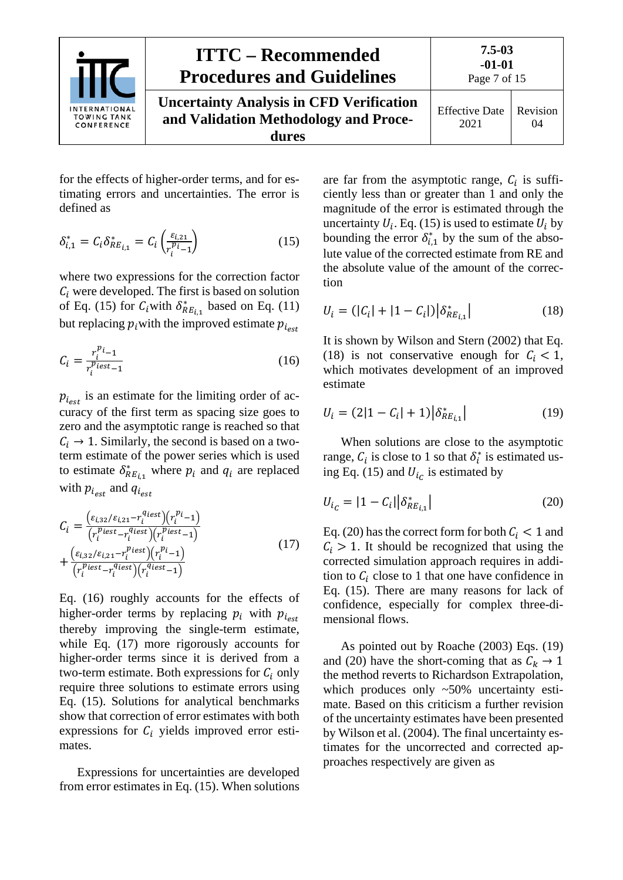

**dures**

Effective Date 2021 Revision 04

for the effects of higher-order terms, and for estimating errors and uncertainties. The error is defined as

$$
\delta_{i,1}^* = C_i \delta_{RE_{i,1}}^* = C_i \left( \frac{\varepsilon_{i,21}}{r_i^{p_i} - 1} \right) \tag{15}
$$

where two expressions for the correction factor  $C_i$  were developed. The first is based on solution of Eq. [\(15\)](#page-6-0) for  $C_i$  with  $\delta_{RE_{i,1}}^*$  based on Eq. [\(11\)](#page-5-4) but replacing  $p_i$  with the improved estimate  $p_{i_{est}}$ 

$$
C_i = \frac{r_i^{p_{i-1}}}{r_i^{p_{iest}-1}}\tag{16}
$$

 $p_{i_{\text{est}}}$  is an estimate for the limiting order of accuracy of the first term as spacing size goes to zero and the asymptotic range is reached so that  $C_i \rightarrow 1$ . Similarly, the second is based on a twoterm estimate of the power series which is used to estimate  $\delta_{RE_{i,1}}^*$  where  $p_i$  and  $q_i$  are replaced with  $p_{i_{est}}$  and  $q_{i_{est}}$ 

$$
C_{i} = \frac{\left(\varepsilon_{i,32}/\varepsilon_{i,21} - r_{i}^{q_{iest}}\right)\left(r_{i}^{p_{i}} - 1\right)}{\left(r_{i}^{p_{iest}} - r_{i}^{q_{iest}}\right)\left(r_{i}^{p_{iest}} - 1\right)} + \frac{\left(\varepsilon_{i,32}/\varepsilon_{i,21} - r_{i}^{p_{iest}}\right)\left(r_{i}^{p_{i}} - 1\right)}{\left(r_{i}^{p_{iest}} - r_{i}^{q_{iest}}\right)\left(r_{i}^{q_{iest}} - 1\right)} \tag{17}
$$

Eq. [\(16\)](#page-6-1) roughly accounts for the effects of higher-order terms by replacing  $p_i$  with  $p_{i_{est}}$ thereby improving the single-term estimate, while Eq.  $(17)$  more rigorously accounts for higher-order terms since it is derived from a two-term estimate. Both expressions for  $C_i$  only require three solutions to estimate errors using Eq. [\(15\)](#page-6-0). Solutions for analytical benchmarks show that correction of error estimates with both expressions for  $C_i$  yields improved error estimates.

Expressions for uncertainties are developed from error estimates in Eq. [\(15\)](#page-6-0). When solutions

<span id="page-6-0"></span>are far from the asymptotic range,  $C_i$  is sufficiently less than or greater than 1 and only the magnitude of the error is estimated through the uncertainty  $U_i$ . Eq. [\(15\)](#page-6-0) is used to estimate  $U_i$  by bounding the error  $\delta_{i,1}^*$  by the sum of the absolute value of the corrected estimate from RE and the absolute value of the amount of the correction

<span id="page-6-3"></span>
$$
U_i = (|C_i| + |1 - C_i|) |\delta^*_{RE_{i,1}}| \tag{18}
$$

<span id="page-6-1"></span>It is shown by Wilson and Stern (2002) that Eq. [\(18\)](#page-6-3) is not conservative enough for  $C_i < 1$ , which motivates development of an improved estimate

<span id="page-6-5"></span>
$$
U_i = (2|1 - C_i| + 1)|\delta^*_{RE_{i,1}}| \tag{19}
$$

When solutions are close to the asymptotic range,  $C_i$  is close to 1 so that  $\delta_i^*$  is estimated us-ing Eq. [\(15\)](#page-6-0) and  $U_{i_c}$  is estimated by

<span id="page-6-4"></span><span id="page-6-2"></span>
$$
U_{i_C} = |1 - C_i| |\delta_{RE_{i,1}}^*|
$$
 (20)

Eq. [\(20\)](#page-6-4) has the correct form for both  $C_i < 1$  and  $C_i > 1$ . It should be recognized that using the corrected simulation approach requires in addition to  $C_i$  close to 1 that one have confidence in Eq. [\(15\)](#page-6-0). There are many reasons for lack of confidence, especially for complex three-dimensional flows.

As pointed out by Roache (2003) Eqs. [\(19\)](#page-6-5) and [\(20\)](#page-6-4) have the short-coming that as  $C_k \rightarrow 1$ the method reverts to Richardson Extrapolation, which produces only ~50% uncertainty estimate. Based on this criticism a further revision of the uncertainty estimates have been presented by Wilson et al. (2004). The final uncertainty estimates for the uncorrected and corrected approaches respectively are given as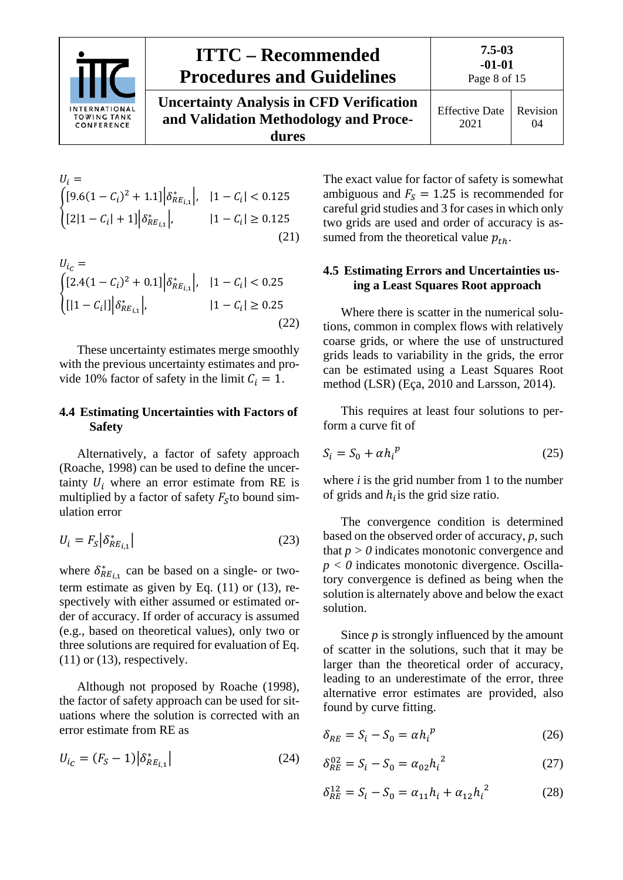

**dures**

$$
U_{i} = \begin{cases} [9.6(1 - C_{i})^{2} + 1.1] \left| \delta_{RE_{i,1}}^{*} \right|, & |1 - C_{i}| < 0.125\\ [2|1 - C_{i}| + 1] \left| \delta_{RE_{i,1}}^{*} \right|, & |1 - C_{i}| \ge 0.125 \end{cases} \tag{21}
$$

$$
U_{i_C} = \begin{cases} [2.4(1 - C_i)^2 + 0.1] \left| \delta_{RE_{i,1}}^* \right|, & |1 - C_i| < 0.25\\ \left[ |1 - C_i| \right] \left| \delta_{RE_{i,1}}^* \right|, & |1 - C_i| \ge 0.25 \end{cases} \tag{22}
$$

These uncertainty estimates merge smoothly with the previous uncertainty estimates and provide 10% factor of safety in the limit  $C_i = 1$ .

#### <span id="page-7-0"></span>**4.4 Estimating Uncertainties with Factors of Safety**

Alternatively, a factor of safety approach (Roache, 1998) can be used to define the uncertainty  $U_i$  where an error estimate from RE is multiplied by a factor of safety  $F<sub>s</sub>$  to bound simulation error

$$
U_i = F_S \left| \delta_{RE_{i,1}}^* \right| \tag{23}
$$

where  $\delta_{RE_{i,1}}^*$  can be based on a single- or twoterm estimate as given by Eq. [\(11\)](#page-5-4) or [\(13\)](#page-5-2), respectively with either assumed or estimated order of accuracy. If order of accuracy is assumed (e.g., based on theoretical values), only two or three solutions are required for evaluation of Eq.  $(11)$  or  $(13)$ , respectively.

Although not proposed by Roache (1998), the factor of safety approach can be used for situations where the solution is corrected with an error estimate from RE as

$$
U_{i_C} = (F_S - 1) \left| \delta_{RE_{i,1}}^* \right| \tag{24}
$$

The exact value for factor of safety is somewhat ambiguous and  $F_s = 1.25$  is recommended for careful grid studies and 3 for cases in which only two grids are used and order of accuracy is assumed from the theoretical value  $p_{th}$ .

#### <span id="page-7-2"></span><span id="page-7-1"></span>**4.5 Estimating Errors and Uncertainties using a Least Squares Root approach**

<span id="page-7-4"></span>Where there is scatter in the numerical solutions, common in complex flows with relatively coarse grids, or where the use of unstructured grids leads to variability in the grids, the error can be estimated using a Least Squares Root method (LSR) (Eça, 2010 and Larsson, 2014).

This requires at least four solutions to perform a curve fit of

$$
S_i = S_0 + \alpha h_i^p \tag{25}
$$

where *i* is the grid number from 1 to the number of grids and  $h_i$  is the grid size ratio.

<span id="page-7-3"></span>The convergence condition is determined based on the observed order of accuracy, *p*, such that  $p > 0$  indicates monotonic convergence and  $p < 0$  indicates monotonic divergence. Oscillatory convergence is defined as being when the solution is alternately above and below the exact solution.

Since *p* is strongly influenced by the amount of scatter in the solutions, such that it may be larger than the theoretical order of accuracy, leading to an underestimate of the error, three alternative error estimates are provided, also found by curve fitting.

<span id="page-7-5"></span>
$$
\delta_{RE} = S_i - S_0 = \alpha h_i^p \tag{26}
$$

$$
\delta_{RE}^{02} = S_i - S_0 = \alpha_{02} h_i^{2}
$$
 (27)

$$
\delta_{RE}^{12} = S_i - S_0 = \alpha_{11} h_i + \alpha_{12} h_i^2 \tag{28}
$$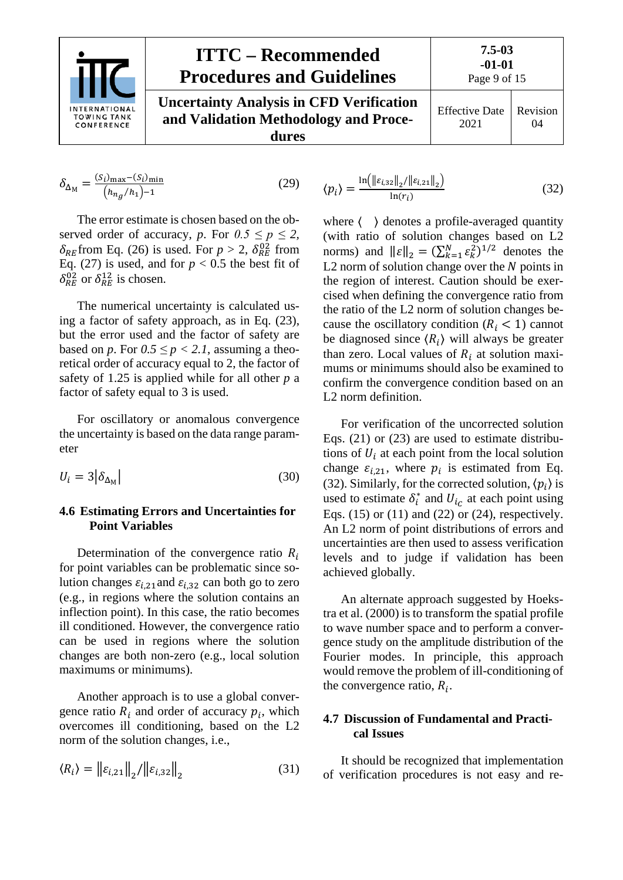

$$
\delta_{\Delta_M} = \frac{(S_i)_{\text{max}} - (S_i)_{\text{min}}}{(h_{ng}/h_1) - 1}
$$
(29)

The error estimate is chosen based on the observed order of accuracy, *p*. For  $0.5 \le p \le 2$ ,  $\delta_{RE}$  from Eq. (26) is used. For  $p > 2$ ,  $\delta_{RE}^{02}$  from Eq. (27) is used, and for  $p < 0.5$  the best fit of  $\delta_{RE}^{02}$  or  $\delta_{RE}^{12}$  is chosen.

The numerical uncertainty is calculated using a factor of safety approach, as in Eq. (23), but the error used and the factor of safety are based on *p*. For  $0.5 \leq p < 2.1$ , assuming a theoretical order of accuracy equal to 2, the factor of safety of 1.25 is applied while for all other *p* a factor of safety equal to 3 is used.

For oscillatory or anomalous convergence the uncertainty is based on the data range parameter

<span id="page-8-0"></span>
$$
U_i = 3\left|\delta_{\Delta_M}\right| \tag{30}
$$

#### **4.6 Estimating Errors and Uncertainties for Point Variables**

Determination of the convergence ratio  $R_i$ for point variables can be problematic since solution changes  $\varepsilon_{i,21}$  and  $\varepsilon_{i,32}$  can both go to zero (e.g., in regions where the solution contains an inflection point). In this case, the ratio becomes ill conditioned. However, the convergence ratio can be used in regions where the solution changes are both non-zero (e.g., local solution maximums or minimums).

Another approach is to use a global convergence ratio  $R_i$  and order of accuracy  $p_i$ , which overcomes ill conditioning, based on the L2 norm of the solution changes, i.e.,

$$
\langle R_i \rangle = ||\varepsilon_{i,21}||_2 / ||\varepsilon_{i,32}||_2
$$
 (31)

<span id="page-8-2"></span>
$$
\langle p_i \rangle = \frac{\ln \left( \|\varepsilon_{i,32}\|_2 / \|\varepsilon_{i,21}\|_2 \right)}{\ln(r_i)}
$$
(32)

where  $\langle \rangle$  denotes a profile-averaged quantity (with ratio of solution changes based on L2 norms) and  $||\varepsilon||_2 = (\sum_{k=1}^N \varepsilon_k^2)^{1/2}$  denotes the L2 norm of solution change over the  $N$  points in the region of interest. Caution should be exercised when defining the convergence ratio from the ratio of the L2 norm of solution changes because the oscillatory condition  $(R<sub>i</sub> < 1)$  cannot be diagnosed since  $\langle R_i \rangle$  will always be greater than zero. Local values of  $R_i$  at solution maximums or minimums should also be examined to confirm the convergence condition based on an L2 norm definition.

For verification of the uncorrected solution Eqs. [\(21\)](#page-7-2) or [\(23\)](#page-7-3) are used to estimate distributions of  $U_i$  at each point from the local solution change  $\varepsilon_{i,21}$ , where  $p_i$  is estimated from Eq. [\(32\)](#page-8-2). Similarly, for the corrected solution,  $\langle p_i \rangle$  is used to estimate  $\delta_i^*$  and  $U_{i_c}$  at each point using Eqs.  $(15)$  or  $(11)$  and  $(22)$  or  $(24)$ , respectively. An L2 norm of point distributions of errors and uncertainties are then used to assess verification levels and to judge if validation has been achieved globally.

An alternate approach suggested by Hoekstra et al. (2000) is to transform the spatial profile to wave number space and to perform a convergence study on the amplitude distribution of the Fourier modes. In principle, this approach would remove the problem of ill-conditioning of the convergence ratio,  $R_i$ .

#### <span id="page-8-1"></span>**4.7 Discussion of Fundamental and Practical Issues**

It should be recognized that implementation of verification procedures is not easy and re-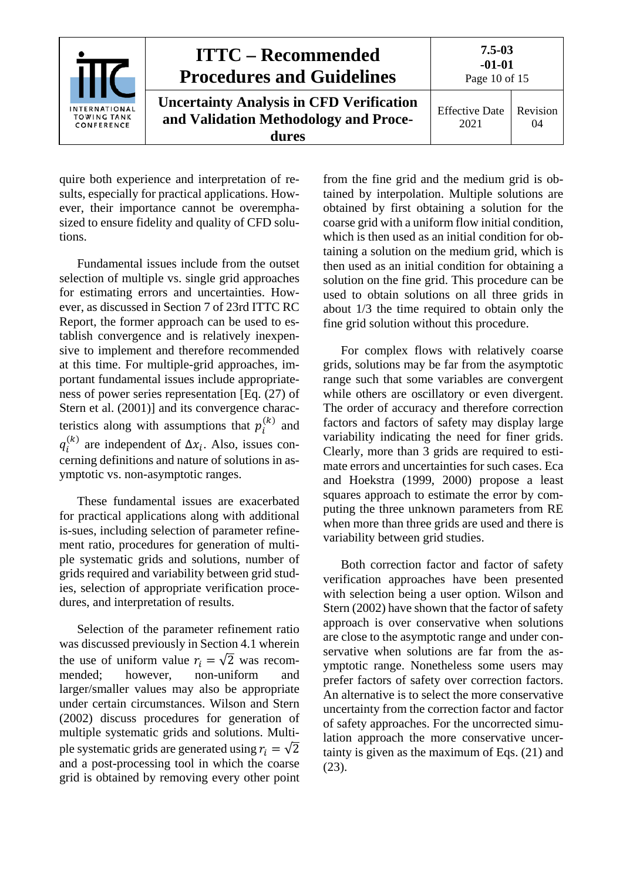

quire both experience and interpretation of results, especially for practical applications. However, their importance cannot be overemphasized to ensure fidelity and quality of CFD solutions.

Fundamental issues include from the outset selection of multiple vs. single grid approaches for estimating errors and uncertainties. However, as discussed in Section 7 of 23rd ITTC RC Report, the former approach can be used to establish convergence and is relatively inexpensive to implement and therefore recommended at this time. For multiple-grid approaches, important fundamental issues include appropriateness of power series representation [Eq. (27) of Stern et al. (2001)] and its convergence characteristics along with assumptions that  $p_i^{(k)}$  and  $q_i^{(k)}$  are independent of  $\Delta x_i$ . Also, issues concerning definitions and nature of solutions in asymptotic vs. non-asymptotic ranges.

These fundamental issues are exacerbated for practical applications along with additional is-sues, including selection of parameter refinement ratio, procedures for generation of multiple systematic grids and solutions, number of grids required and variability between grid studies, selection of appropriate verification procedures, and interpretation of results.

Selection of the parameter refinement ratio was discussed previously in Section 4.1 wherein the use of uniform value  $r_i = \sqrt{2}$  was recom-<br>mended; however, non-uniform and non-uniform larger/smaller values may also be appropriate under certain circumstances. Wilson and Stern (2002) discuss procedures for generation of multiple systematic grids and solutions. Multiple systematic grids are generated using  $r_i = \sqrt{2}$ and a post-processing tool in which the coarse grid is obtained by removing every other point

from the fine grid and the medium grid is obtained by interpolation. Multiple solutions are obtained by first obtaining a solution for the coarse grid with a uniform flow initial condition, which is then used as an initial condition for obtaining a solution on the medium grid, which is then used as an initial condition for obtaining a solution on the fine grid. This procedure can be used to obtain solutions on all three grids in about 1/3 the time required to obtain only the fine grid solution without this procedure.

For complex flows with relatively coarse grids, solutions may be far from the asymptotic range such that some variables are convergent while others are oscillatory or even divergent. The order of accuracy and therefore correction factors and factors of safety may display large variability indicating the need for finer grids. Clearly, more than 3 grids are required to estimate errors and uncertainties for such cases. Eca and Hoekstra (1999, 2000) propose a least squares approach to estimate the error by computing the three unknown parameters from RE when more than three grids are used and there is variability between grid studies.

Both correction factor and factor of safety verification approaches have been presented with selection being a user option. Wilson and Stern (2002) have shown that the factor of safety approach is over conservative when solutions are close to the asymptotic range and under conservative when solutions are far from the asymptotic range. Nonetheless some users may prefer factors of safety over correction factors. An alternative is to select the more conservative uncertainty from the correction factor and factor of safety approaches. For the uncorrected simulation approach the more conservative uncertainty is given as the maximum of Eqs. [\(21\)](#page-7-2) and [\(23\)](#page-7-3).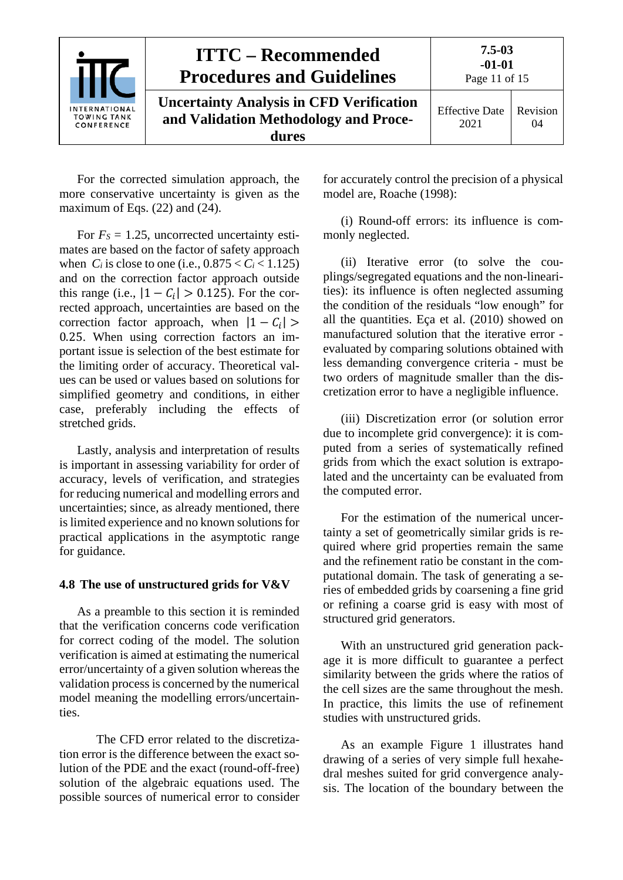

For the corrected simulation approach, the more conservative uncertainty is given as the maximum of Eqs. [\(22\)](#page-7-4) and [\(24\)](#page-7-5).

For  $F_s = 1.25$ , uncorrected uncertainty estimates are based on the factor of safety approach when  $C_i$  is close to one (i.e.,  $0.875 < C_i < 1.125$ ) and on the correction factor approach outside this range (i.e.,  $|1 - C_i| > 0.125$ ). For the corrected approach, uncertainties are based on the correction factor approach, when  $|1 - C_i|$  > 0.25. When using correction factors an important issue is selection of the best estimate for the limiting order of accuracy. Theoretical values can be used or values based on solutions for simplified geometry and conditions, in either case, preferably including the effects of stretched grids.

Lastly, analysis and interpretation of results is important in assessing variability for order of accuracy, levels of verification, and strategies for reducing numerical and modelling errors and uncertainties; since, as already mentioned, there is limited experience and no known solutions for practical applications in the asymptotic range for guidance.

#### <span id="page-10-0"></span>**4.8 The use of unstructured grids for V&V**

As a preamble to this section it is reminded that the verification concerns code verification for correct coding of the model. The solution verification is aimed at estimating the numerical error/uncertainty of a given solution whereas the validation process is concerned by the numerical model meaning the modelling errors/uncertainties.

The CFD error related to the discretization error is the difference between the exact solution of the PDE and the exact (round-off-free) solution of the algebraic equations used. The possible sources of numerical error to consider for accurately control the precision of a physical model are, Roache (1998):

(i) Round-off errors: its influence is commonly neglected.

(ii) Iterative error (to solve the couplings/segregated equations and the non-linearities): its influence is often neglected assuming the condition of the residuals "low enough" for all the quantities. Eça et al. (2010) showed on manufactured solution that the iterative error evaluated by comparing solutions obtained with less demanding convergence criteria - must be two orders of magnitude smaller than the discretization error to have a negligible influence.

(iii) Discretization error (or solution error due to incomplete grid convergence): it is computed from a series of systematically refined grids from which the exact solution is extrapolated and the uncertainty can be evaluated from the computed error.

For the estimation of the numerical uncertainty a set of geometrically similar grids is required where grid properties remain the same and the refinement ratio be constant in the computational domain. The task of generating a series of embedded grids by coarsening a fine grid or refining a coarse grid is easy with most of structured grid generators.

With an unstructured grid generation package it is more difficult to guarantee a perfect similarity between the grids where the ratios of the cell sizes are the same throughout the mesh. In practice, this limits the use of refinement studies with unstructured grids.

As an example Figure 1 illustrates hand drawing of a series of very simple full hexahedral meshes suited for grid convergence analysis. The location of the boundary between the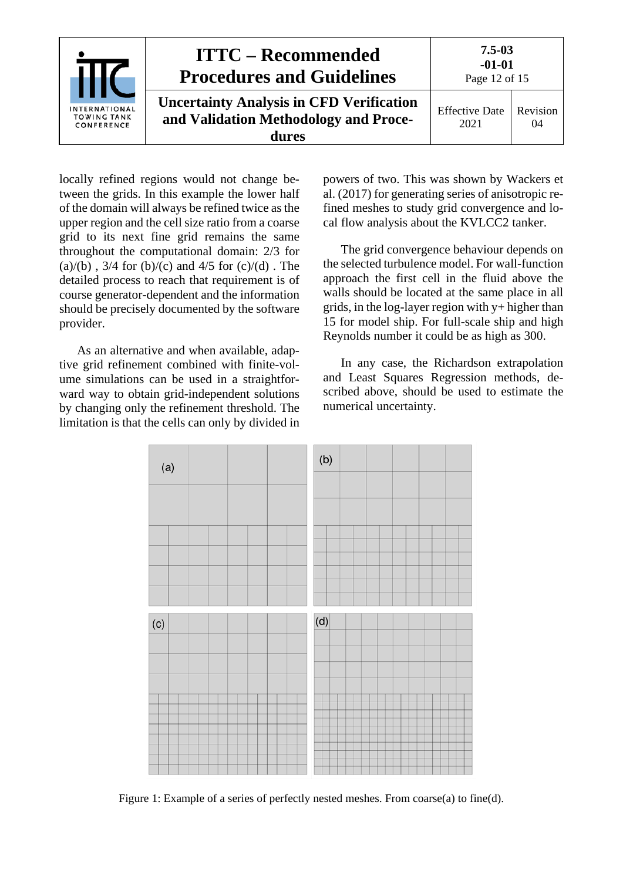

locally refined regions would not change between the grids. In this example the lower half of the domain will always be refined twice as the upper region and the cell size ratio from a coarse grid to its next fine grid remains the same throughout the computational domain: 2/3 for (a)/(b),  $3/4$  for (b)/(c) and  $4/5$  for (c)/(d). The detailed process to reach that requirement is of course generator-dependent and the information should be precisely documented by the software provider.

As an alternative and when available, adaptive grid refinement combined with finite-volume simulations can be used in a straightforward way to obtain grid-independent solutions by changing only the refinement threshold. The limitation is that the cells can only by divided in powers of two. This was shown by Wackers et al. (2017) for generating series of anisotropic refined meshes to study grid convergence and local flow analysis about the KVLCC2 tanker.

The grid convergence behaviour depends on the selected turbulence model. For wall-function approach the first cell in the fluid above the walls should be located at the same place in all grids, in the log-layer region with y+ higher than 15 for model ship. For full-scale ship and high Reynolds number it could be as high as 300.

In any case, the Richardson extrapolation and Least Squares Regression methods, described above, should be used to estimate the numerical uncertainty.



Figure 1: Example of a series of perfectly nested meshes. From coarse(a) to fine(d).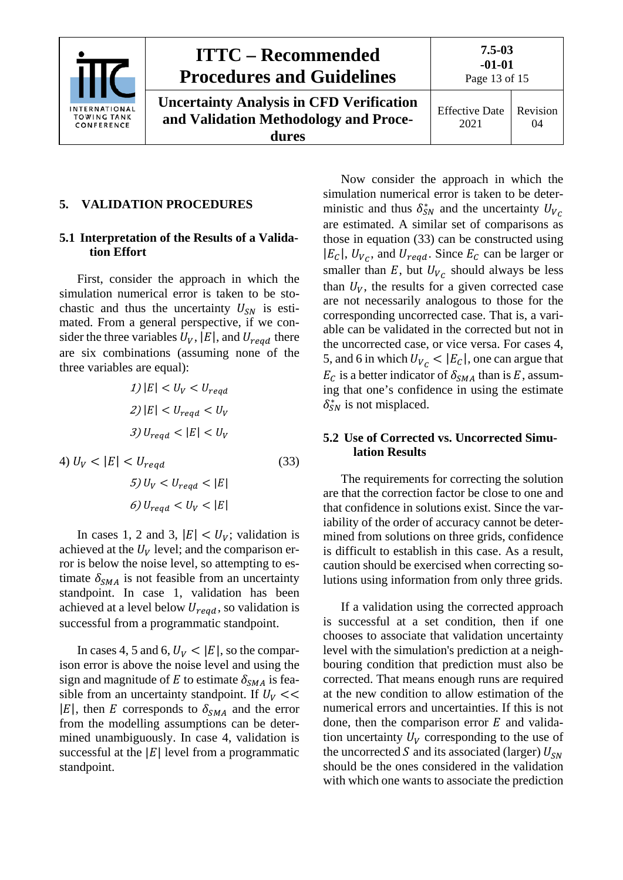

# **ITTC – Recommended Procedures and Guidelines**

**Uncertainty Analysis in CFD Verification and Validation Methodology and Procedures**

Effective Date 2021 Revision 04

### <span id="page-12-1"></span><span id="page-12-0"></span>**5. VALIDATION PROCEDURES**

#### **5.1 Interpretation of the Results of a Validation Effort**

First, consider the approach in which the simulation numerical error is taken to be stochastic and thus the uncertainty  $U_{SN}$  is estimated. From a general perspective, if we consider the three variables  $U_V$ ,  $|E|$ , and  $U_{read}$  there are six combinations (assuming none of the three variables are equal):

$$
1) |E| < U_V < U_{reqd}
$$
\n
$$
2) |E| < U_{reqd} < U_V
$$
\n
$$
3) U_{reqd} < |E| < U_V
$$
\n
$$
4) U_V < |E| < U_{reqd} \tag{33}
$$

$$
5) U_V < U_{reqd} < |E|
$$
  

$$
5) U_V < U_{reqd} < |E|
$$
  

$$
6) U_{reqd} < U_V < |E|
$$

In cases 1, 2 and 3,  $|E| < U_V$ ; validation is achieved at the  $U_V$  level; and the comparison error is below the noise level, so attempting to estimate  $\delta_{SMA}$  is not feasible from an uncertainty standpoint. In case 1, validation has been achieved at a level below  $U_{reqd}$ , so validation is successful from a programmatic standpoint.

In cases 4, 5 and 6,  $U_V < |E|$ , so the comparison error is above the noise level and using the sign and magnitude of E to estimate  $\delta_{SMA}$  is feasible from an uncertainty standpoint. If  $U_V \ll$  $|E|$ , then E corresponds to  $\delta_{SMA}$  and the error from the modelling assumptions can be determined unambiguously. In case 4, validation is successful at the  $|E|$  level from a programmatic standpoint.

Now consider the approach in which the simulation numerical error is taken to be deterministic and thus  $\delta_{SN}^*$  and the uncertainty  $U_{V_C}$ are estimated. A similar set of comparisons as those in equation [\(33\)](#page-12-3) can be constructed using  $|E_c|$ ,  $U_{V_c}$ , and  $U_{reqd}$ . Since  $E_c$  can be larger or smaller than  $E$ , but  $U_{V_C}$  should always be less than  $U_V$ , the results for a given corrected case are not necessarily analogous to those for the corresponding uncorrected case. That is, a variable can be validated in the corrected but not in the uncorrected case, or vice versa. For cases 4, 5, and 6 in which  $U_{V_C}$  <  $|E_C|$ , one can argue that  $E_c$  is a better indicator of  $\delta_{SMA}$  than is E, assuming that one's confidence in using the estimate  $\delta_{SN}^*$  is not misplaced.

#### <span id="page-12-3"></span><span id="page-12-2"></span>**5.2 Use of Corrected vs. Uncorrected Simulation Results**

The requirements for correcting the solution are that the correction factor be close to one and that confidence in solutions exist. Since the variability of the order of accuracy cannot be determined from solutions on three grids, confidence is difficult to establish in this case. As a result, caution should be exercised when correcting solutions using information from only three grids.

If a validation using the corrected approach is successful at a set condition, then if one chooses to associate that validation uncertainty level with the simulation's prediction at a neighbouring condition that prediction must also be corrected. That means enough runs are required at the new condition to allow estimation of the numerical errors and uncertainties. If this is not done, then the comparison error  $E$  and validation uncertainty  $U_V$  corresponding to the use of the uncorrected S and its associated (larger)  $U_{SN}$ should be the ones considered in the validation with which one wants to associate the prediction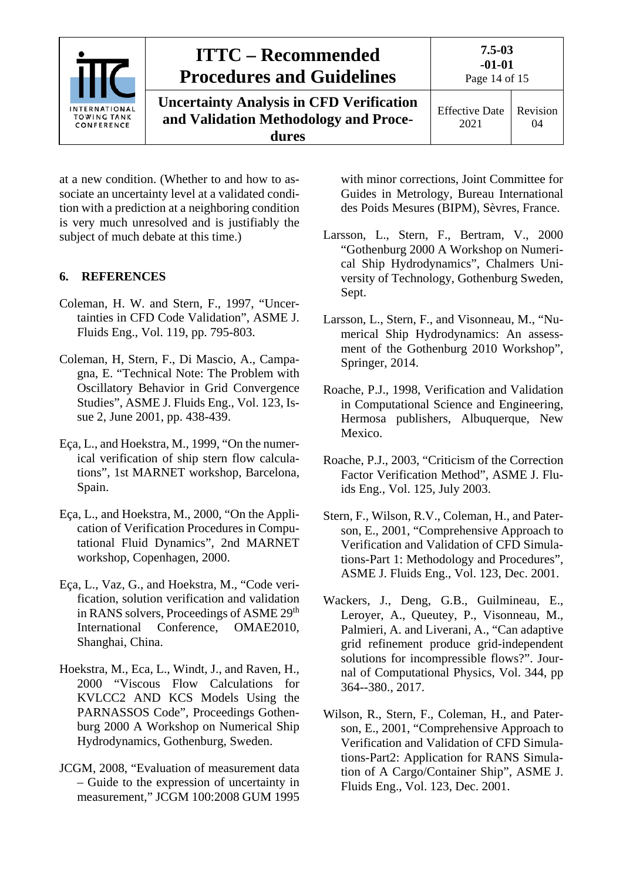

at a new condition. (Whether to and how to associate an uncertainty level at a validated condition with a prediction at a neighboring condition is very much unresolved and is justifiably the subject of much debate at this time.)

#### <span id="page-13-0"></span>**6. REFERENCES**

- Coleman, H. W. and Stern, F., 1997, "Uncertainties in CFD Code Validation", ASME J. Fluids Eng., Vol. 119, pp. 795-803.
- Coleman, H, Stern, F., Di Mascio, A., Campagna, E. "Technical Note: The Problem with Oscillatory Behavior in Grid Convergence Studies", ASME J. Fluids Eng., Vol. 123, Issue 2, June 2001, pp. 438-439.
- Eça, L., and Hoekstra, M., 1999, "On the numerical verification of ship stern flow calculations", 1st MARNET workshop, Barcelona, Spain.
- Eça, L., and Hoekstra, M., 2000, "On the Application of Verification Procedures in Computational Fluid Dynamics", 2nd MARNET workshop, Copenhagen, 2000.
- Eça, L., Vaz, G., and Hoekstra, M., "Code verification, solution verification and validation in RANS solvers, Proceedings of ASME 29<sup>th</sup> International Conference, OMAE2010, Shanghai, China.
- Hoekstra, M., Eca, L., Windt, J., and Raven, H., 2000 "Viscous Flow Calculations for KVLCC2 AND KCS Models Using the PARNASSOS Code", Proceedings Gothenburg 2000 A Workshop on Numerical Ship Hydrodynamics, Gothenburg, Sweden.
- JCGM, 2008, "Evaluation of measurement data – Guide to the expression of uncertainty in measurement," JCGM 100:2008 GUM 1995

with minor corrections, Joint Committee for Guides in Metrology, Bureau International des Poids Mesures (BIPM), Sèvres, France.

- Larsson, L., Stern, F., Bertram, V., 2000 "Gothenburg 2000 A Workshop on Numerical Ship Hydrodynamics", Chalmers University of Technology, Gothenburg Sweden, Sept.
- Larsson, L., Stern, F., and Visonneau, M., "Numerical Ship Hydrodynamics: An assessment of the Gothenburg 2010 Workshop", Springer, 2014.
- Roache, P.J., 1998, Verification and Validation in Computational Science and Engineering, Hermosa publishers, Albuquerque, New Mexico.
- Roache, P.J., 2003, "Criticism of the Correction Factor Verification Method", ASME J. Fluids Eng., Vol. 125, July 2003.
- Stern, F., Wilson, R.V., Coleman, H., and Paterson, E., 2001, "Comprehensive Approach to Verification and Validation of CFD Simulations-Part 1: Methodology and Procedures", ASME J. Fluids Eng., Vol. 123, Dec. 2001.
- Wackers, J., Deng, G.B., Guilmineau, E., Leroyer, A., Queutey, P., Visonneau, M., Palmieri, A. and Liverani, A., "Can adaptive grid refinement produce grid-independent solutions for incompressible flows?". Journal of Computational Physics, Vol. 344, pp 364--380., 2017.
- Wilson, R., Stern, F., Coleman, H., and Paterson, E., 2001, "Comprehensive Approach to Verification and Validation of CFD Simulations-Part2: Application for RANS Simulation of A Cargo/Container Ship", ASME J. Fluids Eng., Vol. 123, Dec. 2001.